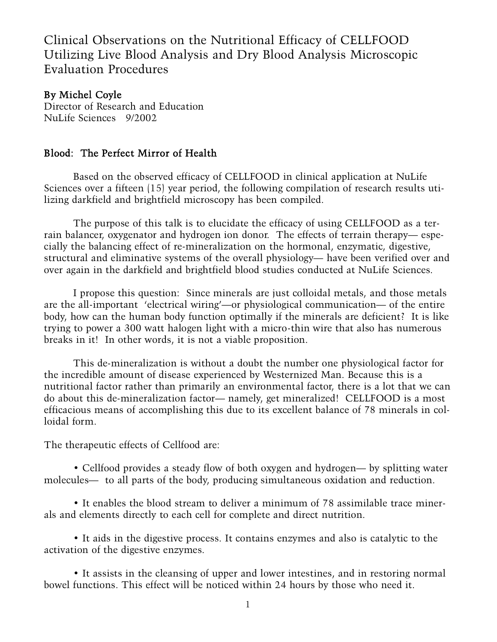Clinical Observations on the Nutritional Efficacy of CELLFOOD Utilizing Live Blood Analysis and Dry Blood Analysis Microscopic Evaluation Procedures

## By Michel Coyle

Director of Research and Education NuLife Sciences 9/2002

## Blood: The Perfect Mirror of Health

Based on the observed efficacy of CELLFOOD in clinical application at NuLife Sciences over a fifteen (15) year period, the following compilation of research results utilizing darkfield and brightfield microscopy has been compiled.

The purpose of this talk is to elucidate the efficacy of using CELLFOOD as a terrain balancer, oxygenator and hydrogen ion donor. The effects of terrain therapy— especially the balancing effect of re-mineralization on the hormonal, enzymatic, digestive, structural and eliminative systems of the overall physiology— have been verified over and over again in the darkfield and brightfield blood studies conducted at NuLife Sciences.

I propose this question: Since minerals are just colloidal metals, and those metals are the all-important 'electrical wiring'—or physiological communication— of the entire body, how can the human body function optimally if the minerals are deficient? It is like trying to power a 300 watt halogen light with a micro-thin wire that also has numerous breaks in it! In other words, it is not a viable proposition.

This de-mineralization is without a doubt the number one physiological factor for the incredible amount of disease experienced by Westernized Man. Because this is a nutritional factor rather than primarily an environmental factor, there is a lot that we can do about this de-mineralization factor— namely, get mineralized! CELLFOOD is a most efficacious means of accomplishing this due to its excellent balance of 78 minerals in colloidal form.

The therapeutic effects of Cellfood are:

• Cellfood provides a steady flow of both oxygen and hydrogen— by splitting water molecules— to all parts of the body, producing simultaneous oxidation and reduction.

• It enables the blood stream to deliver a minimum of 78 assimilable trace minerals and elements directly to each cell for complete and direct nutrition.

• It aids in the digestive process. It contains enzymes and also is catalytic to the activation of the digestive enzymes.

• It assists in the cleansing of upper and lower intestines, and in restoring normal bowel functions. This effect will be noticed within 24 hours by those who need it.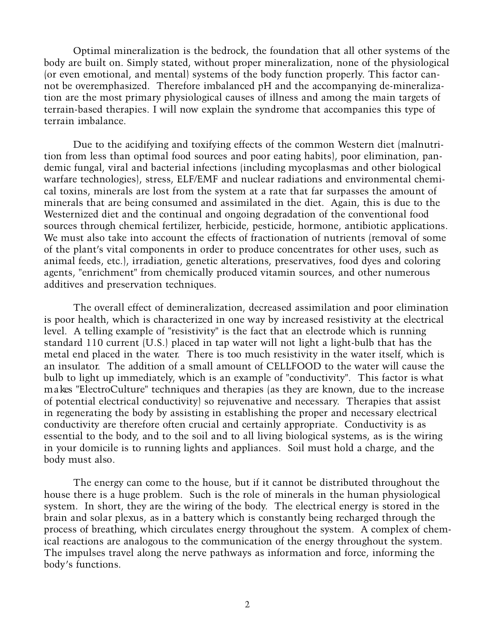Optimal mineralization is the bedrock, the foundation that all other systems of the body are built on. Simply stated, without proper mineralization, none of the physiological (or even emotional, and mental) systems of the body function properly. This factor cannot be overemphasized. Therefore imbalanced pH and the accompanying de-mineralization are the most primary physiological causes of illness and among the main targets of terrain-based therapies. I will now explain the syndrome that accompanies this type of terrain imbalance.

Due to the acidifying and toxifying effects of the common Western diet (malnutrition from less than optimal food sources and poor eating habits), poor elimination, pandemic fungal, viral and bacterial infections (including mycoplasmas and other biological warfare technologies), stress, ELF/EMF and nuclear radiations and environmental chemical toxins, minerals are lost from the system at a rate that far surpasses the amount of minerals that are being consumed and assimilated in the diet. Again, this is due to the We sternized diet and the continual and ongoing degradation of the conventional food sources through chemical fertilizer, herbicide, pesticide, hormone, antibiotic applications. We must also take into account the effects of fractionation of nutrients (removal of some of the plant's vital components in order to produce concentrates for other uses, such as animal feeds, etc.), irradiation, genetic alterations, preservatives, food dyes and coloring agents, "enrichment" from chemically produced vitamin sources, and other numerous additives and preservation techniques.

The overall effect of demineralization, decreased assimilation and poor elimination is poor health, which is characterized in one way by increased resistivity at the electrical level. A telling example of "resistivity" is the fact that an electrode which is running standard 110 current (U.S.) placed in tap water will not light a light-bulb that has the metal end placed in the water. There is too much resistivity in the water itself, which is an insulator. The addition of a small amount of CELLFOOD to the water will cause the bulb to light up immediately, which is an example of "conductivity". This factor is what m a kes "ElectroCulture" techniques and therapies (as they are known, due to the increase of potential electrical conductivity) so rejuvenative and necessary. Therapies that assist in regenerating the body by assisting in establishing the proper and necessary electrical conductivity are therefore often crucial and certainly appropriate. Conductivity is as essential to the body, and to the soil and to all living biological systems, as is the wiring in your domicile is to running lights and appliances. Soil must hold a charge, and the body must also.

The energy can come to the house, but if it cannot be distributed throughout the house there is a huge problem. Such is the role of minerals in the human physiological system. In short, they are the wiring of the body. The electrical energy is stored in the brain and solar plexus, as in a battery which is constantly being recharged through the process of breathing, which circulates energy throughout the system. A complex of chemical reactions are analogous to the communication of the energy throughout the system. The impulses travel along the nerve pathways as information and force, informing the body's functions.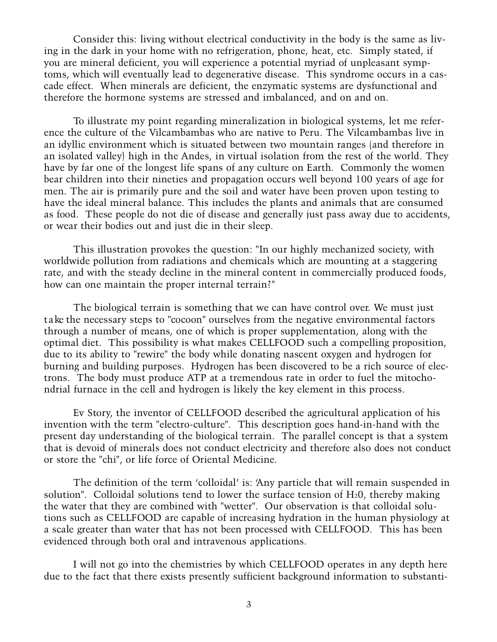Consider this: living without electrical conductivity in the body is the same as living in the dark in your home with no refrigeration, phone, heat, etc. Simply stated, if you are mineral deficient, you will experience a potential myriad of unpleasant symptoms, which will eventually lead to degenerative disease. This syndrome occurs in a cascade effect. When minerals are deficient, the enzymatic systems are dysfunctional and therefore the hormone systems are stressed and imbalanced, and on and on.

To illustrate my point regarding mineralization in biological systems, let me reference the culture of the Vilcambambas who are native to Peru. The Vilcambambas live in an idyllic environment which is situated between two mountain ranges (and therefore in an isolated valley) high in the Andes, in virtual isolation from the rest of the world. They have by far one of the longest life spans of any culture on Earth. Commonly the women bear children into their nineties and propagation occurs well beyond 100 years of age for men. The air is primarily pure and the soil and water have been proven upon testing to have the ideal mineral balance. This includes the plants and animals that are consumed as food. These people do not die of disease and generally just pass away due to accidents, or wear their bodies out and just die in their sleep.

This illustration provokes the question: "In our highly mechanized society, with worldwide pollution from radiations and chemicals which are mounting at a staggering rate, and with the steady decline in the mineral content in commercially produced foods, how can one maintain the proper internal terrain?"

The biological terrain is something that we can have control over. We must just t a ke the necessary steps to "cocoon" ourselves from the negative environmental factors through a number of means, one of which is proper supplementation, along with the optimal diet. This possibility is what makes CELLFOOD such a compelling proposition, due to its ability to "rewire" the body while donating nascent oxygen and hydrogen for burning and building purposes. Hydrogen has been discovered to be a rich source of electrons. The body must produce ATP at a tremendous rate in order to fuel the mitochondrial furnace in the cell and hydrogen is likely the key element in this process.

Ev Story, the inventor of CELLFOOD described the agricultural application of his invention with the term "electro-culture". This description goes hand-in-hand with the present day understanding of the biological terrain. The parallel concept is that a system that is devoid of minerals does not conduct electricity and therefore also does not conduct or store the "chi", or life force of Oriental Medicine.

The definition of the term 'colloidal' is: 'Any particle that will remain suspended in solution". Colloidal solutions tend to lower the surface tension of  $H_2O$ , thereby making the water that they are combined with "wetter". Our observation is that colloidal solutions such as CELLFOOD are capable of increasing hydration in the human physiology at a scale greater than water that has not been processed with CELLFOOD. This has been evidenced through both oral and intravenous applications.

I will not go into the chemistries by which CELLFOOD operates in any depth here due to the fact that there exists presently sufficient background information to substanti-